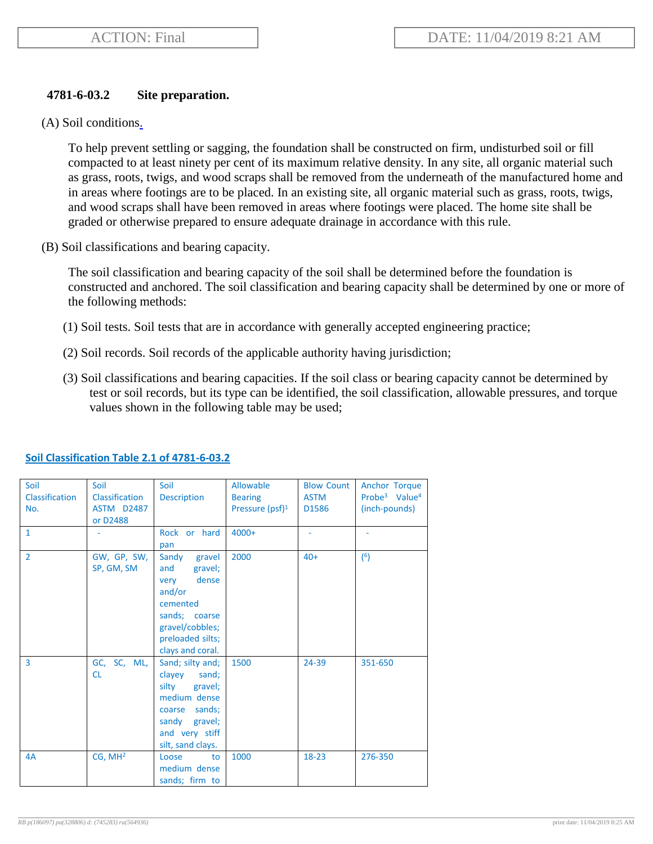## **4781-6-03.2 Site preparation.**

(A) Soil conditions.

To help prevent settling or sagging, the foundation shall be constructed on firm, undisturbed soil or fill compacted to at least ninety per cent of its maximum relative density. In any site, all organic material such as grass, roots, twigs, and wood scraps shall be removed from the underneath of the manufactured home and in areas where footings are to be placed. In an existing site, all organic material such as grass, roots, twigs, and wood scraps shall have been removed in areas where footings were placed. The home site shall be graded or otherwise prepared to ensure adequate drainage in accordance with this rule.

(B) Soil classifications and bearing capacity.

The soil classification and bearing capacity of the soil shall be determined before the foundation is constructed and anchored. The soil classification and bearing capacity shall be determined by one or more of the following methods:

- (1) Soil tests. Soil tests that are in accordance with generally accepted engineering practice;
- (2) Soil records. Soil records of the applicable authority having jurisdiction;
- (3) Soil classifications and bearing capacities. If the soil class or bearing capacity cannot be determined by test or soil records, but its type can be identified, the soil classification, allowable pressures, and torque values shown in the following table may be used;

| Soil<br>Classification<br>No. | Soil<br><b>Classification</b><br><b>ASTM D2487</b><br>or D2488 | Soil<br><b>Description</b>                                                                                                                           | Allowable<br><b>Bearing</b><br>Pressure (psf) <sup>1</sup> | <b>Blow Count</b><br><b>ASTM</b><br>D1586 | Anchor Torque<br>Probe <sup>3</sup> Value <sup>4</sup><br>(inch-pounds) |
|-------------------------------|----------------------------------------------------------------|------------------------------------------------------------------------------------------------------------------------------------------------------|------------------------------------------------------------|-------------------------------------------|-------------------------------------------------------------------------|
| $\mathbf{1}$                  |                                                                | Rock or hard<br>pan                                                                                                                                  | $4000+$                                                    |                                           |                                                                         |
| $\overline{2}$                | GW, GP, SW,<br>SP, GM, SM                                      | Sandy<br>gravel<br>gravel;<br>and<br>dense<br>very<br>and/or<br>cemented<br>sands; coarse<br>gravel/cobbles;<br>preloaded silts;<br>clays and coral. | 2000                                                       | $40+$                                     | (6)                                                                     |
| $\overline{3}$                | GC, SC, ML,<br><b>CL</b>                                       | Sand; silty and;<br>clayey<br>sand;<br>silty<br>gravel;<br>medium dense<br>coarse sands;<br>gravel;<br>sandy<br>and very stiff<br>silt, sand clays.  | 1500                                                       | 24-39                                     | 351-650                                                                 |
| 4A                            | CG, MH <sup>2</sup>                                            | Loose<br>to<br>medium dense<br>sands; firm to                                                                                                        | 1000                                                       | $18 - 23$                                 | 276-350                                                                 |

## **Soil Classification Table 2.1 of 4781-6-03.2**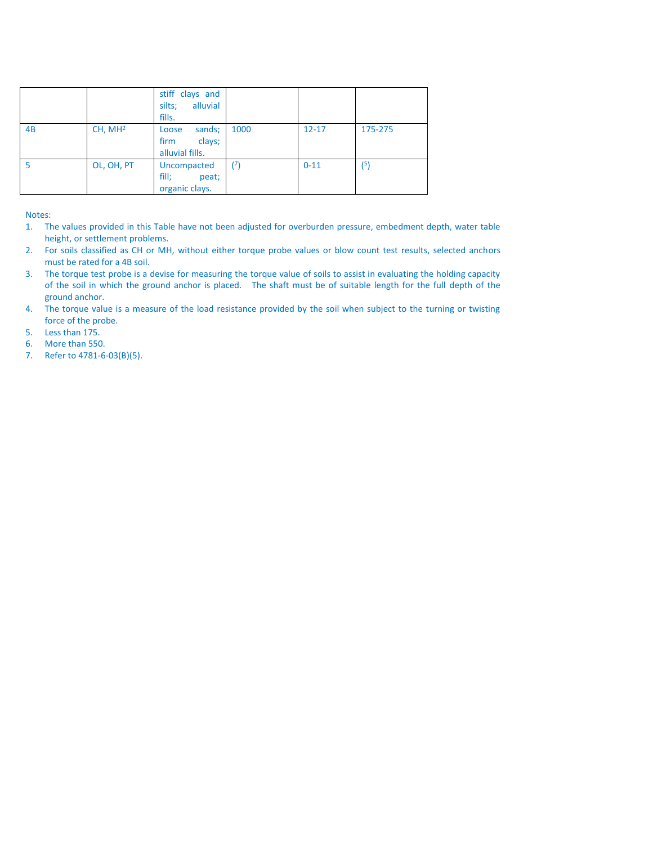|    |                     | stiff clays and<br>alluvial<br>silts;<br>fills.      |      |           |         |
|----|---------------------|------------------------------------------------------|------|-----------|---------|
| 4B | CH, MH <sup>2</sup> | sands;<br>Loose<br>firm<br>clays;<br>alluvial fills. | 1000 | $12 - 17$ | 175-275 |
|    | OL, OH, PT          | Uncompacted<br>fill;<br>peat;<br>organic clays.      | (7)  | $0 - 11$  | (5)     |

Notes:

- 1. The values provided in this Table have not been adjusted for overburden pressure, embedment depth, water table height, or settlement problems.
- 2. For soils classified as CH or MH, without either torque probe values or blow count test results, selected anchors must be rated for a 4B soil.
- 3. The torque test probe is a devise for measuring the torque value of soils to assist in evaluating the holding capacity of the soil in which the ground anchor is placed. The shaft must be of suitable length for the full depth of the ground anchor.
- 4. The torque value is a measure of the load resistance provided by the soil when subject to the turning or twisting force of the probe.
- 5. Less than 175.
- 6. More than 550.
- 7. Refer to 4781-6-03(B)(5).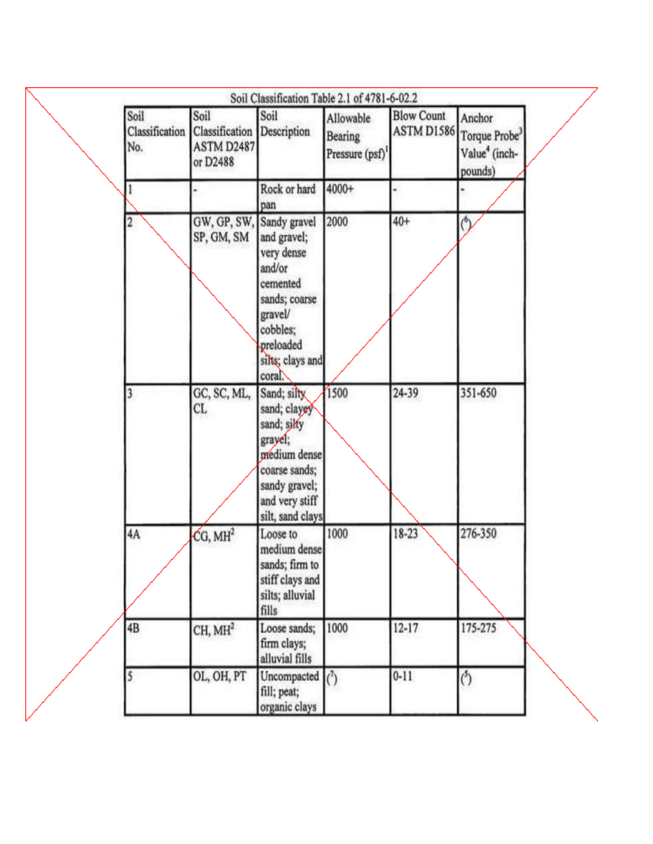| Soil<br>Classification<br>No. | Soil<br>Classification<br><b>ASTM D2487</b><br>or D2488 | Soil<br>Description                                                                                                                            | Allowable<br>Bearing<br>Pressure (psf) | <b>Blow Count</b><br>ASTM D1586 Torque Probe <sup>3</sup> | Anchor<br>Value <sup>4</sup> (inch- |
|-------------------------------|---------------------------------------------------------|------------------------------------------------------------------------------------------------------------------------------------------------|----------------------------------------|-----------------------------------------------------------|-------------------------------------|
|                               |                                                         | Rock or hard<br>pan                                                                                                                            | 4000+                                  |                                                           | pounds)                             |
|                               | GW, GP, SW, Sandy gravel<br>SP, GM, SM                  | and gravel;<br>very dense<br>and/or<br>cemented<br>sands; coarse<br>gravel/<br>cobbles;<br>preloaded<br>silts; clays and<br>coral              | 2000                                   | $40+$                                                     | 0                                   |
|                               | GC, SC, ML,<br>CL.                                      | Sand; silly<br>sand; clayey<br>sand; silfy<br>grayel;<br>prédium dense<br>coarse sands;<br>sandy gravel;<br>and very stiff<br>silt, sand clays | 1500                                   | 24-39                                                     | 351-650                             |
| 4A                            | CG, MH <sup>2</sup>                                     | Loose to<br>medium dense<br>sands; firm to<br>stiff clays and<br>silts; alluvial<br>fills                                                      | 1000                                   | 18-23                                                     | 276-350                             |
| 4B                            | CH, MH <sup>2</sup>                                     | Loose sands;<br>firm clays;<br>alluvial fills                                                                                                  | 1000                                   | $12 - 17$                                                 | 175-275                             |
|                               | OL, OH, PT                                              | Uncompacted<br>fill; peat;<br>organic clays                                                                                                    | $\binom{7}{2}$                         | $0 - 11$                                                  | $5$                                 |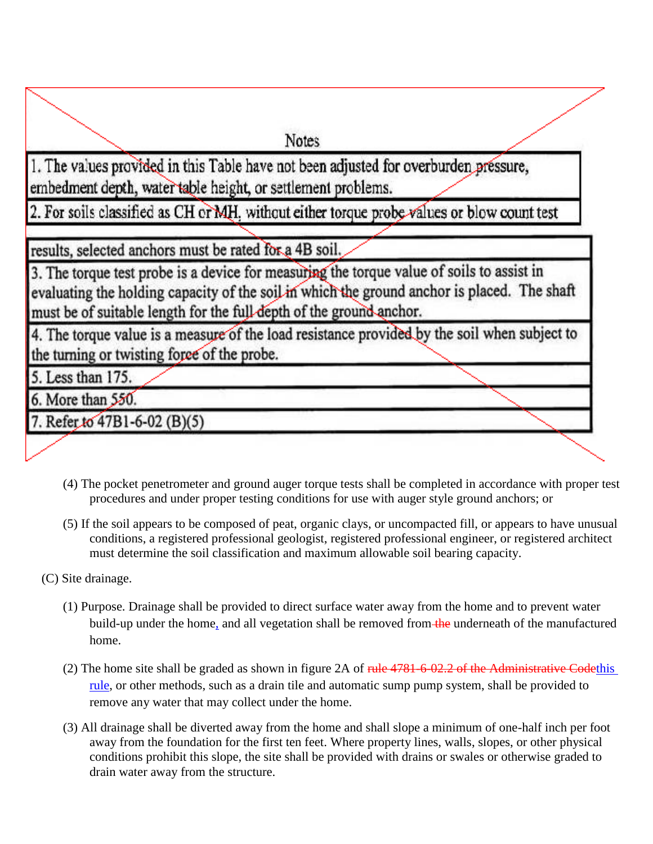**Notes** 

1. The values provided in this Table have not been adjusted for overburden pressure, embedment depth, water table height, or settlement problems.

2. For soils classified as CH or MH, without either torque probe values or blow count test

results, selected anchors must be rated for a 4B soil.

3. The torque test probe is a device for measuring the torque value of soils to assist in evaluating the holding capacity of the soil in which the ground anchor is placed. The shaft must be of suitable length for the full-depth of the ground-anchor.

4. The torque value is a measure of the load resistance provided by the soil when subject to the turning or twisting force of the probe.

5. Less than 175.

6. More than 550.

7. Refer to 47B1-6-02 (B)(5)

- (4) The pocket penetrometer and ground auger torque tests shall be completed in accordance with proper test procedures and under proper testing conditions for use with auger style ground anchors; or
- (5) If the soil appears to be composed of peat, organic clays, or uncompacted fill, or appears to have unusual conditions, a registered professional geologist, registered professional engineer, or registered architect must determine the soil classification and maximum allowable soil bearing capacity.

(C) Site drainage.

- (1) Purpose. Drainage shall be provided to direct surface water away from the home and to prevent water build-up under the home, and all vegetation shall be removed from the underneath of the manufactured home.
- (2) The home site shall be graded as shown in figure 2A of  $rule 4781-6.02.2$  of the Administrative Codethis rule, or other methods, such as a drain tile and automatic sump pump system, shall be provided to remove any water that may collect under the home.
- (3) All drainage shall be diverted away from the home and shall slope a minimum of one-half inch per foot away from the foundation for the first ten feet. Where property lines, walls, slopes, or other physical conditions prohibit this slope, the site shall be provided with drains or swales or otherwise graded to drain water away from the structure.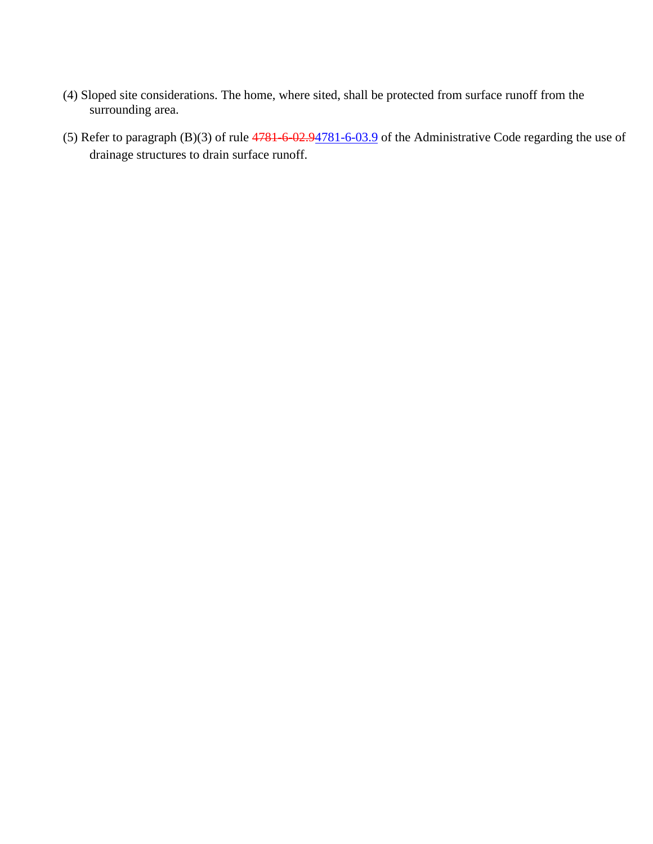- (4) Sloped site considerations. The home, where sited, shall be protected from surface runoff from the surrounding area.
- (5) Refer to paragraph  $(B)(3)$  of rule  $4781-6-02.94781-6-03.9$  of the Administrative Code regarding the use of drainage structures to drain surface runoff.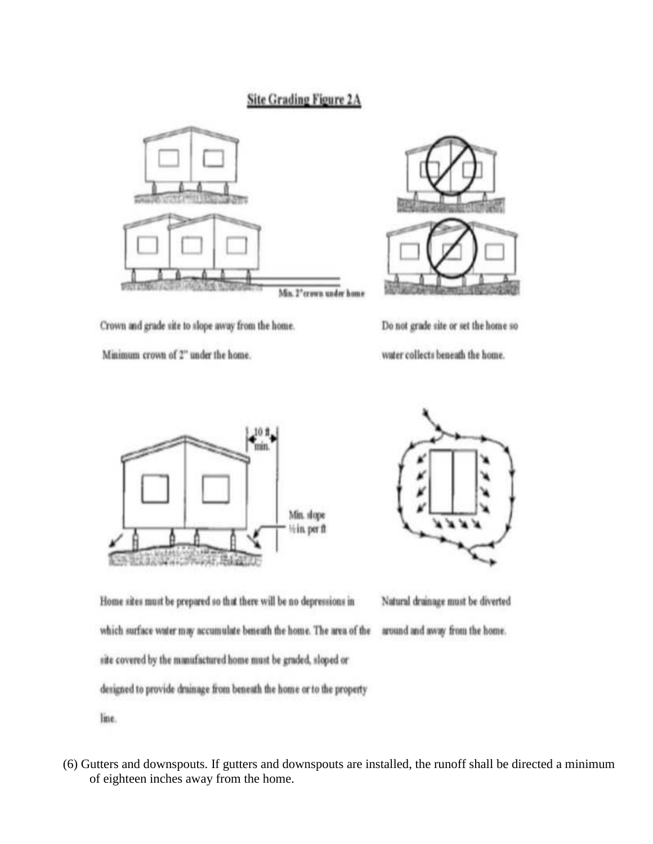## **Site Grading Figure 2A**



Crown and grade site to slope away from the home.

Minimum crown of 2" under the home.



Do not grade site or set the home so water collects beneath the home.





Home sites must be prepared so that there will be no depressions in which surface water may accumulate beneath the home. The area of the site covered by the manufactured home must be graded, sloped or designed to provide drainage from beneath the home or to the property

Natural drainage must be diverted around and away from the home.

line.

(6) Gutters and downspouts. If gutters and downspouts are installed, the runoff shall be directed a minimum of eighteen inches away from the home.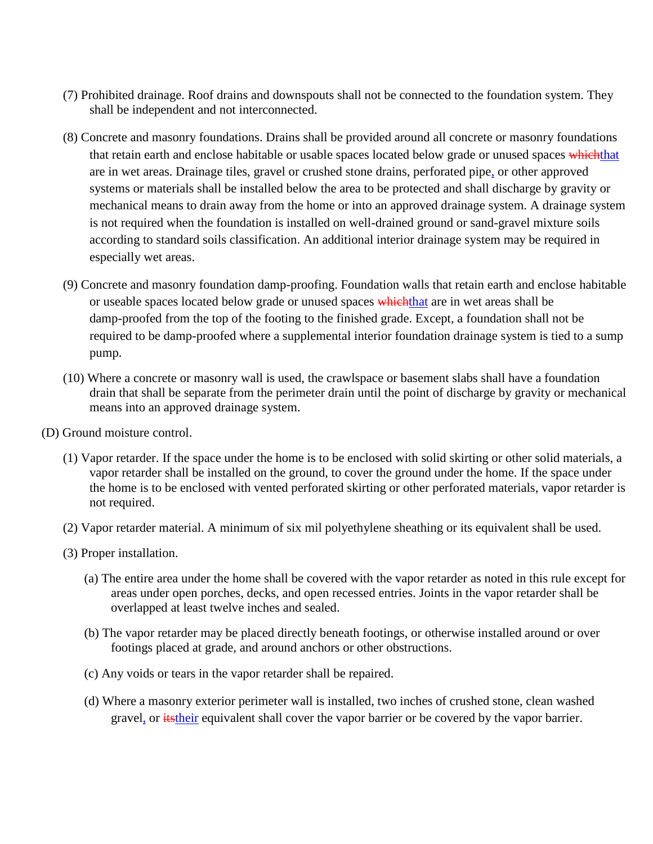- (7) Prohibited drainage. Roof drains and downspouts shall not be connected to the foundation system. They shall be independent and not interconnected.
- (8) Concrete and masonry foundations. Drains shall be provided around all concrete or masonry foundations that retain earth and enclose habitable or usable spaces located below grade or unused spaces whichthat are in wet areas. Drainage tiles, gravel or crushed stone drains, perforated pipe, or other approved systems or materials shall be installed below the area to be protected and shall discharge by gravity or mechanical means to drain away from the home or into an approved drainage system. A drainage system is not required when the foundation is installed on well-drained ground or sand-gravel mixture soils according to standard soils classification. An additional interior drainage system may be required in especially wet areas.
- (9) Concrete and masonry foundation damp-proofing. Foundation walls that retain earth and enclose habitable or useable spaces located below grade or unused spaces whichthat are in wet areas shall be damp-proofed from the top of the footing to the finished grade. Except, a foundation shall not be required to be damp-proofed where a supplemental interior foundation drainage system is tied to a sump pump.
- (10) Where a concrete or masonry wall is used, the crawlspace or basement slabs shall have a foundation drain that shall be separate from the perimeter drain until the point of discharge by gravity or mechanical means into an approved drainage system.
- (D) Ground moisture control.
	- (1) Vapor retarder. If the space under the home is to be enclosed with solid skirting or other solid materials, a vapor retarder shall be installed on the ground, to cover the ground under the home. If the space under the home is to be enclosed with vented perforated skirting or other perforated materials, vapor retarder is not required.
	- (2) Vapor retarder material. A minimum of six mil polyethylene sheathing or its equivalent shall be used.
	- (3) Proper installation.
		- (a) The entire area under the home shall be covered with the vapor retarder as noted in this rule except for areas under open porches, decks, and open recessed entries. Joints in the vapor retarder shall be overlapped at least twelve inches and sealed.
		- (b) The vapor retarder may be placed directly beneath footings, or otherwise installed around or over footings placed at grade, and around anchors or other obstructions.
		- (c) Any voids or tears in the vapor retarder shall be repaired.
		- (d) Where a masonry exterior perimeter wall is installed, two inches of crushed stone, clean washed gravel, or *itstheir* equivalent shall cover the vapor barrier or be covered by the vapor barrier.